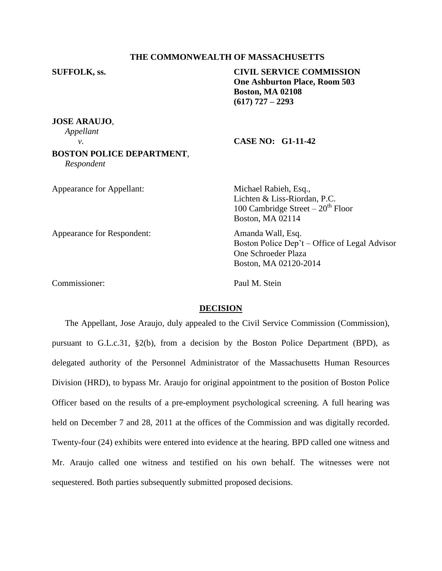# **THE COMMONWEALTH OF MASSACHUSETTS**

**SUFFOLK, ss. CIVIL SERVICE COMMISSION One Ashburton Place, Room 503 Boston, MA 02108 (617) 727 – 2293**

**JOSE ARAUJO**, *Appellant*

### *v.* **CASE NO: G1-11-42**

# **BOSTON POLICE DEPARTMENT**, *Respondent*

| Appearance for Appellant:  | Michael Rabieh, Esq.,<br>Lichten & Liss-Riordan, P.C.<br>100 Cambridge Street $-20th$ Floor<br>Boston, MA 02114    |
|----------------------------|--------------------------------------------------------------------------------------------------------------------|
| Appearance for Respondent: | Amanda Wall, Esq.<br>Boston Police Dep't – Office of Legal Advisor<br>One Schroeder Plaza<br>Boston, MA 02120-2014 |
| Commissioner:              | Paul M. Stein                                                                                                      |

# **DECISION**

The Appellant, Jose Araujo, duly appealed to the Civil Service Commission (Commission), pursuant to G.L.c.31, §2(b), from a decision by the Boston Police Department (BPD), as delegated authority of the Personnel Administrator of the Massachusetts Human Resources Division (HRD), to bypass Mr. Araujo for original appointment to the position of Boston Police Officer based on the results of a pre-employment psychological screening. A full hearing was held on December 7 and 28, 2011 at the offices of the Commission and was digitally recorded. Twenty-four (24) exhibits were entered into evidence at the hearing. BPD called one witness and Mr. Araujo called one witness and testified on his own behalf. The witnesses were not sequestered. Both parties subsequently submitted proposed decisions.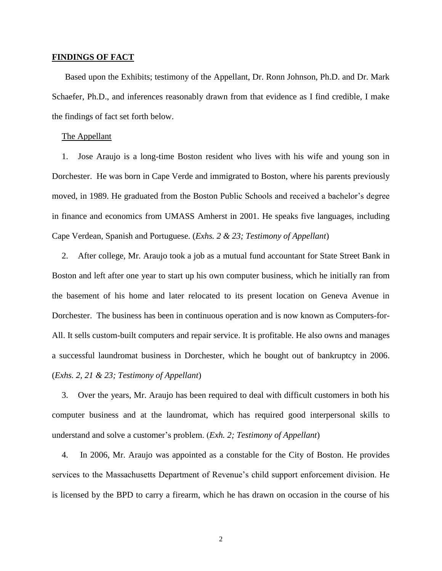## **FINDINGS OF FACT**

Based upon the Exhibits; testimony of the Appellant, Dr. Ronn Johnson, Ph.D. and Dr. Mark Schaefer, Ph.D., and inferences reasonably drawn from that evidence as I find credible, I make the findings of fact set forth below.

## The Appellant

1. Jose Araujo is a long-time Boston resident who lives with his wife and young son in Dorchester. He was born in Cape Verde and immigrated to Boston, where his parents previously moved, in 1989. He graduated from the Boston Public Schools and received a bachelor's degree in finance and economics from UMASS Amherst in 2001. He speaks five languages, including Cape Verdean, Spanish and Portuguese. (*Exhs. 2 & 23; Testimony of Appellant*)

2. After college, Mr. Araujo took a job as a mutual fund accountant for State Street Bank in Boston and left after one year to start up his own computer business, which he initially ran from the basement of his home and later relocated to its present location on Geneva Avenue in Dorchester. The business has been in continuous operation and is now known as Computers-for-All. It sells custom-built computers and repair service. It is profitable. He also owns and manages a successful laundromat business in Dorchester, which he bought out of bankruptcy in 2006. (*Exhs. 2, 21 & 23; Testimony of Appellant*)

3. Over the years, Mr. Araujo has been required to deal with difficult customers in both his computer business and at the laundromat, which has required good interpersonal skills to understand and solve a customer's problem. (*Exh. 2; Testimony of Appellant*)

4. In 2006, Mr. Araujo was appointed as a constable for the City of Boston. He provides services to the Massachusetts Department of Revenue's child support enforcement division. He is licensed by the BPD to carry a firearm, which he has drawn on occasion in the course of his

2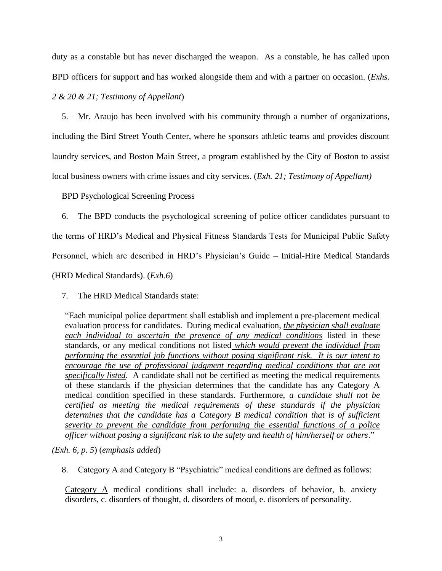duty as a constable but has never discharged the weapon. As a constable, he has called upon BPD officers for support and has worked alongside them and with a partner on occasion. (*Exhs.* 

# *2 & 20 & 21; Testimony of Appellant*)

5. Mr. Araujo has been involved with his community through a number of organizations, including the Bird Street Youth Center, where he sponsors athletic teams and provides discount laundry services, and Boston Main Street, a program established by the City of Boston to assist local business owners with crime issues and city services. (*Exh. 21; Testimony of Appellant)*

# BPD Psychological Screening Process

6. The BPD conducts the psychological screening of police officer candidates pursuant to the terms of HRD's Medical and Physical Fitness Standards Tests for Municipal Public Safety Personnel, which are described in HRD's Physician's Guide – Initial-Hire Medical Standards (HRD Medical Standards). (*Exh.6*)

7. The HRD Medical Standards state:

"Each municipal police department shall establish and implement a pre-placement medical evaluation process for candidates. During medical evaluation, *the physician shall evaluate each individual to ascertain the presence of any medical conditions* listed in these standards, or any medical conditions not listed *which would prevent the individual from performing the essential job functions without posing significant risk. It is our intent to encourage the use of professional judgment regarding medical conditions that are not specifically listed*. A candidate shall not be certified as meeting the medical requirements of these standards if the physician determines that the candidate has any Category A medical condition specified in these standards. Furthermore, *a candidate shall not be certified as meeting the medical requirements of these standards if the physician determines that the candidate has a Category B medical condition that is of sufficient severity to prevent the candidate from performing the essential functions of a police officer without posing a significant risk to the safety and health of him/herself or others*."

*(Exh. 6, p. 5*) (*emphasis added*)

8. Category A and Category B "Psychiatric" medical conditions are defined as follows:

Category A medical conditions shall include: a. disorders of behavior, b. anxiety disorders, c. disorders of thought, d. disorders of mood, e. disorders of personality.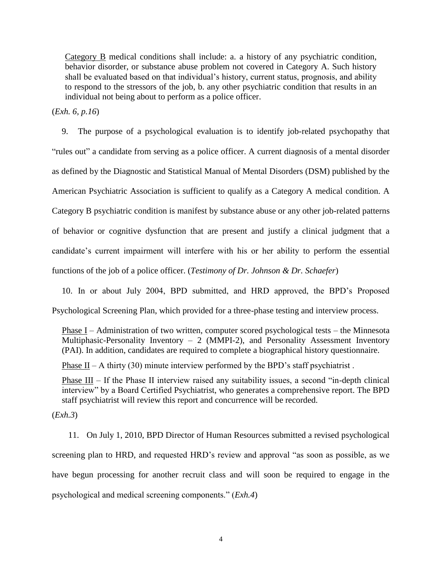Category B medical conditions shall include: a. a history of any psychiatric condition, behavior disorder, or substance abuse problem not covered in Category A. Such history shall be evaluated based on that individual's history, current status, prognosis, and ability to respond to the stressors of the job, b. any other psychiatric condition that results in an individual not being about to perform as a police officer.

(*Exh. 6, p.16*)

9. The purpose of a psychological evaluation is to identify job-related psychopathy that "rules out" a candidate from serving as a police officer. A current diagnosis of a mental disorder as defined by the Diagnostic and Statistical Manual of Mental Disorders (DSM) published by the American Psychiatric Association is sufficient to qualify as a Category A medical condition. A Category B psychiatric condition is manifest by substance abuse or any other job-related patterns of behavior or cognitive dysfunction that are present and justify a clinical judgment that a candidate's current impairment will interfere with his or her ability to perform the essential functions of the job of a police officer. (*Testimony of Dr. Johnson & Dr. Schaefer*)

10. In or about July 2004, BPD submitted, and HRD approved, the BPD's Proposed Psychological Screening Plan, which provided for a three-phase testing and interview process.

Phase I – Administration of two written, computer scored psychological tests – the Minnesota Multiphasic-Personality Inventory  $- 2$  (MMPI-2), and Personality Assessment Inventory (PAI). In addition, candidates are required to complete a biographical history questionnaire.

Phase II – A thirty (30) minute interview performed by the BPD's staff psychiatrist.

Phase III – If the Phase II interview raised any suitability issues, a second "in-depth clinical interview" by a Board Certified Psychiatrist, who generates a comprehensive report. The BPD staff psychiatrist will review this report and concurrence will be recorded.

(*Exh.3*)

11. On July 1, 2010, BPD Director of Human Resources submitted a revised psychological screening plan to HRD, and requested HRD's review and approval "as soon as possible, as we have begun processing for another recruit class and will soon be required to engage in the psychological and medical screening components." (*Exh.4*)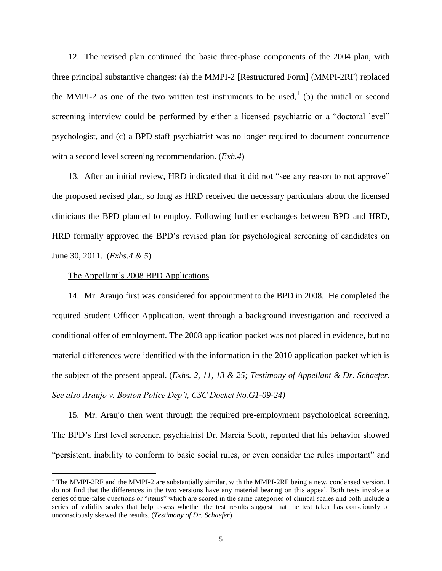12. The revised plan continued the basic three-phase components of the 2004 plan, with three principal substantive changes: (a) the MMPI-2 [Restructured Form] (MMPI-2RF) replaced the MMPI-2 as one of the two written test instruments to be used,  $\binom{1}{k}$  (b) the initial or second screening interview could be performed by either a licensed psychiatric or a "doctoral level" psychologist, and (c) a BPD staff psychiatrist was no longer required to document concurrence with a second level screening recommendation. (*Exh.4*)

13. After an initial review, HRD indicated that it did not "see any reason to not approve" the proposed revised plan, so long as HRD received the necessary particulars about the licensed clinicians the BPD planned to employ. Following further exchanges between BPD and HRD, HRD formally approved the BPD's revised plan for psychological screening of candidates on June 30, 2011. (*Exhs.4 & 5*)

#### The Appellant's 2008 BPD Applications

 $\overline{a}$ 

14. Mr. Araujo first was considered for appointment to the BPD in 2008. He completed the required Student Officer Application, went through a background investigation and received a conditional offer of employment. The 2008 application packet was not placed in evidence, but no material differences were identified with the information in the 2010 application packet which is the subject of the present appeal. (*Exhs. 2, 11, 13 & 25; Testimony of Appellant & Dr. Schaefer. See also Araujo v. Boston Police Dep't, CSC Docket No.G1-09-24)*

15. Mr. Araujo then went through the required pre-employment psychological screening. The BPD's first level screener, psychiatrist Dr. Marcia Scott, reported that his behavior showed "persistent, inability to conform to basic social rules, or even consider the rules important" and

 $1$  The MMPI-2RF and the MMPI-2 are substantially similar, with the MMPI-2RF being a new, condensed version. I do not find that the differences in the two versions have any material bearing on this appeal. Both tests involve a series of true-false questions or "items" which are scored in the same categories of clinical scales and both include a series of validity scales that help assess whether the test results suggest that the test taker has consciously or unconsciously skewed the results. (*Testimony of Dr. Schaefer*)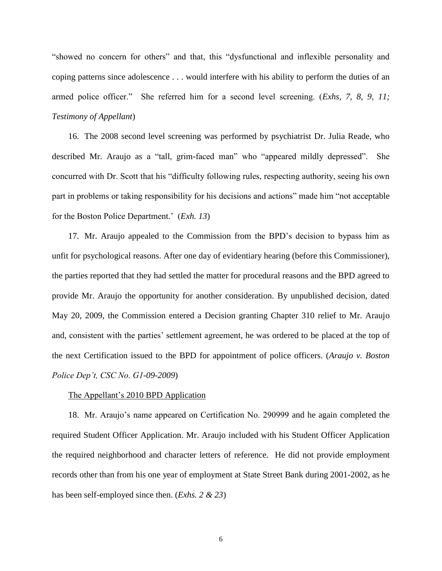"showed no concern for others" and that, this "dysfunctional and inflexible personality and coping patterns since adolescence . . . would interfere with his ability to perform the duties of an armed police officer." She referred him for a second level screening. (*Exhs, 7, 8, 9, 11; Testimony of Appellant*)

16. The 2008 second level screening was performed by psychiatrist Dr. Julia Reade, who described Mr. Araujo as a "tall, grim-faced man" who "appeared mildly depressed". She concurred with Dr. Scott that his "difficulty following rules, respecting authority, seeing his own part in problems or taking responsibility for his decisions and actions" made him "not acceptable for the Boston Police Department.' (*Exh. 13*)

17. Mr. Araujo appealed to the Commission from the BPD's decision to bypass him as unfit for psychological reasons. After one day of evidentiary hearing (before this Commissioner), the parties reported that they had settled the matter for procedural reasons and the BPD agreed to provide Mr. Araujo the opportunity for another consideration. By unpublished decision, dated May 20, 2009, the Commission entered a Decision granting Chapter 310 relief to Mr. Araujo and, consistent with the parties' settlement agreement, he was ordered to be placed at the top of the next Certification issued to the BPD for appointment of police officers. (*Araujo v. Boston Police Dep't, CSC No. G1-09-2009*)

## The Appellant's 2010 BPD Application

18. Mr. Araujo's name appeared on Certification No. 290999 and he again completed the required Student Officer Application. Mr. Araujo included with his Student Officer Application the required neighborhood and character letters of reference. He did not provide employment records other than from his one year of employment at State Street Bank during 2001-2002, as he has been self-employed since then. (*Exhs. 2 & 23*)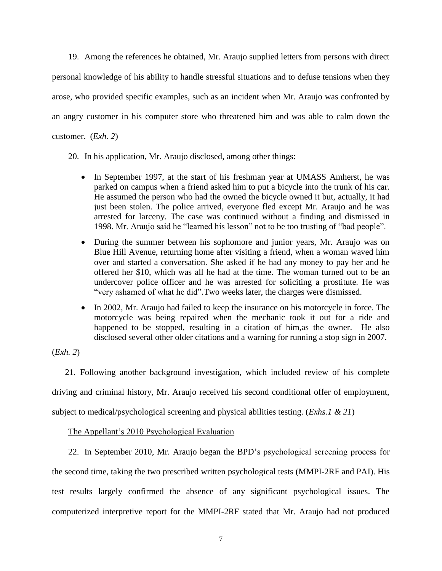19. Among the references he obtained, Mr. Araujo supplied letters from persons with direct personal knowledge of his ability to handle stressful situations and to defuse tensions when they arose, who provided specific examples, such as an incident when Mr. Araujo was confronted by an angry customer in his computer store who threatened him and was able to calm down the customer. (*Exh. 2*)

20. In his application, Mr. Araujo disclosed, among other things:

- In September 1997, at the start of his freshman year at UMASS Amherst, he was parked on campus when a friend asked him to put a bicycle into the trunk of his car. He assumed the person who had the owned the bicycle owned it but, actually, it had just been stolen. The police arrived, everyone fled except Mr. Araujo and he was arrested for larceny. The case was continued without a finding and dismissed in 1998. Mr. Araujo said he "learned his lesson" not to be too trusting of "bad people".
- During the summer between his sophomore and junior years, Mr. Araujo was on Blue Hill Avenue, returning home after visiting a friend, when a woman waved him over and started a conversation. She asked if he had any money to pay her and he offered her \$10, which was all he had at the time. The woman turned out to be an undercover police officer and he was arrested for soliciting a prostitute. He was "very ashamed of what he did".Two weeks later, the charges were dismissed.
- In 2002, Mr. Araujo had failed to keep the insurance on his motorcycle in force. The motorcycle was being repaired when the mechanic took it out for a ride and happened to be stopped, resulting in a citation of him,as the owner. He also disclosed several other older citations and a warning for running a stop sign in 2007.

(*Exh. 2*)

21. Following another background investigation, which included review of his complete driving and criminal history, Mr. Araujo received his second conditional offer of employment, subject to medical/psychological screening and physical abilities testing. (*Exhs.1 & 21*)

# The Appellant's 2010 Psychological Evaluation

22. In September 2010, Mr. Araujo began the BPD's psychological screening process for the second time, taking the two prescribed written psychological tests (MMPI-2RF and PAI). His test results largely confirmed the absence of any significant psychological issues. The computerized interpretive report for the MMPI-2RF stated that Mr. Araujo had not produced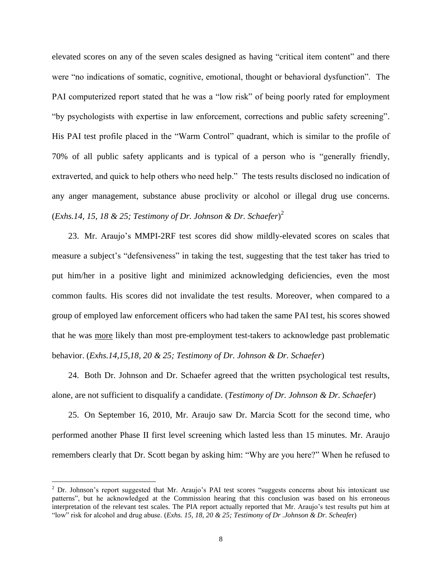elevated scores on any of the seven scales designed as having "critical item content" and there were "no indications of somatic, cognitive, emotional, thought or behavioral dysfunction". The PAI computerized report stated that he was a "low risk" of being poorly rated for employment "by psychologists with expertise in law enforcement, corrections and public safety screening". His PAI test profile placed in the "Warm Control" quadrant, which is similar to the profile of 70% of all public safety applicants and is typical of a person who is "generally friendly, extraverted, and quick to help others who need help." The tests results disclosed no indication of any anger management, substance abuse proclivity or alcohol or illegal drug use concerns. (*Exhs.14, 15, 18 & 25; Testimony of Dr. Johnson & Dr. Schaefer*) 2

23. Mr. Araujo's MMPI-2RF test scores did show mildly-elevated scores on scales that measure a subject's "defensiveness" in taking the test, suggesting that the test taker has tried to put him/her in a positive light and minimized acknowledging deficiencies, even the most common faults. His scores did not invalidate the test results. Moreover, when compared to a group of employed law enforcement officers who had taken the same PAI test, his scores showed that he was more likely than most pre-employment test-takers to acknowledge past problematic behavior. (*Exhs.14,15,18, 20 & 25; Testimony of Dr. Johnson & Dr. Schaefer*)

24. Both Dr. Johnson and Dr. Schaefer agreed that the written psychological test results, alone, are not sufficient to disqualify a candidate. (*Testimony of Dr. Johnson & Dr. Schaefer*)

25. On September 16, 2010, Mr. Araujo saw Dr. Marcia Scott for the second time, who performed another Phase II first level screening which lasted less than 15 minutes. Mr. Araujo remembers clearly that Dr. Scott began by asking him: "Why are you here?" When he refused to

 $\overline{a}$ 

 $2$  Dr. Johnson's report suggested that Mr. Araujo's PAI test scores "suggests concerns about his intoxicant use patterns", but he acknowledged at the Commission hearing that this conclusion was based on his erroneous interpretation of the relevant test scales. The PIA report actually reported that Mr. Araujo's test results put him at "low" risk for alcohol and drug abuse. (*Exhs. 15, 18, 20 & 25; Testimony of Dr .Johnson & Dr. Scheafe*r)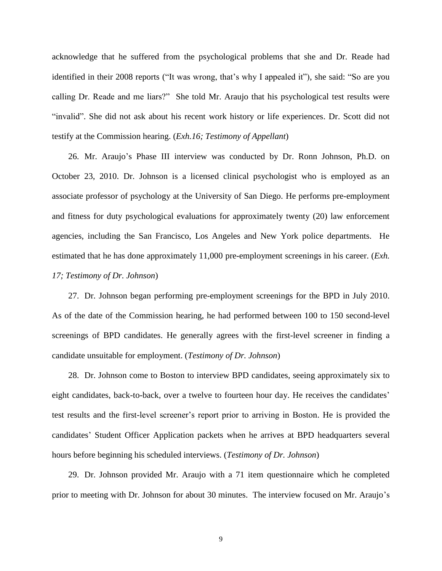acknowledge that he suffered from the psychological problems that she and Dr. Reade had identified in their 2008 reports ("It was wrong, that's why I appealed it"), she said: "So are you calling Dr. Reade and me liars?" She told Mr. Araujo that his psychological test results were "invalid". She did not ask about his recent work history or life experiences. Dr. Scott did not testify at the Commission hearing. (*Exh.16; Testimony of Appellant*)

26. Mr. Araujo's Phase III interview was conducted by Dr. Ronn Johnson, Ph.D. on October 23, 2010. Dr. Johnson is a licensed clinical psychologist who is employed as an associate professor of psychology at the University of San Diego. He performs pre-employment and fitness for duty psychological evaluations for approximately twenty (20) law enforcement agencies, including the San Francisco, Los Angeles and New York police departments. He estimated that he has done approximately 11,000 pre-employment screenings in his career. (*Exh. 17; Testimony of Dr. Johnson*)

27. Dr. Johnson began performing pre-employment screenings for the BPD in July 2010. As of the date of the Commission hearing, he had performed between 100 to 150 second-level screenings of BPD candidates. He generally agrees with the first-level screener in finding a candidate unsuitable for employment. (*Testimony of Dr. Johnson*)

28. Dr. Johnson come to Boston to interview BPD candidates, seeing approximately six to eight candidates, back-to-back, over a twelve to fourteen hour day. He receives the candidates' test results and the first-level screener's report prior to arriving in Boston. He is provided the candidates' Student Officer Application packets when he arrives at BPD headquarters several hours before beginning his scheduled interviews. (*Testimony of Dr. Johnson*)

29. Dr. Johnson provided Mr. Araujo with a 71 item questionnaire which he completed prior to meeting with Dr. Johnson for about 30 minutes. The interview focused on Mr. Araujo's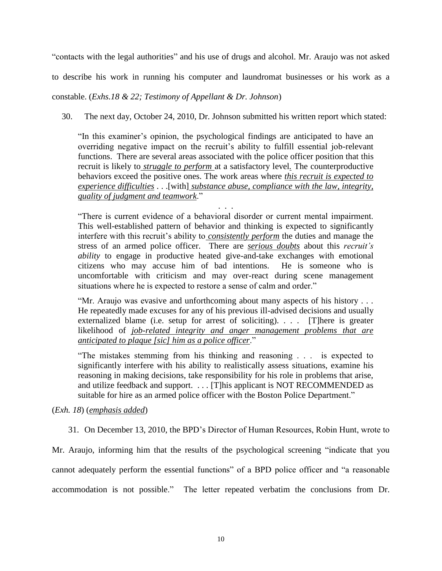"contacts with the legal authorities" and his use of drugs and alcohol. Mr. Araujo was not asked

to describe his work in running his computer and laundromat businesses or his work as a

constable. (*Exhs.18 & 22; Testimony of Appellant & Dr. Johnson*)

30. The next day, October 24, 2010, Dr. Johnson submitted his written report which stated:

"In this examiner's opinion, the psychological findings are anticipated to have an overriding negative impact on the recruit's ability to fulfill essential job-relevant functions. There are several areas associated with the police officer position that this recruit is likely to *struggle to perform* at a satisfactory level*.* The counterproductive behaviors exceed the positive ones. The work areas where *this recruit is expected to experience difficulties* . . .[with] *substance abuse, compliance with the law, integrity, quality of judgment and teamwork*."

. . . "There is current evidence of a behavioral disorder or current mental impairment. This well-established pattern of behavior and thinking is expected to significantly interfere with this recruit's ability to *consistently perform* the duties and manage the stress of an armed police officer. There are *serious doubts* about this *recruit's ability* to engage in productive heated give-and-take exchanges with emotional citizens who may accuse him of bad intentions. He is someone who is uncomfortable with criticism and may over-react during scene management situations where he is expected to restore a sense of calm and order."

"Mr. Araujo was evasive and unforthcoming about many aspects of his history . . . He repeatedly made excuses for any of his previous ill-advised decisions and usually externalized blame (i.e. setup for arrest of soliciting). . . . [T]here is greater likelihood of *job-related integrity and anger management problems that are anticipated to plaque [sic] him as a police officer*."

"The mistakes stemming from his thinking and reasoning . . . is expected to significantly interfere with his ability to realistically assess situations, examine his reasoning in making decisions, take responsibility for his role in problems that arise, and utilize feedback and support. . . . [T]his applicant is NOT RECOMMENDED as suitable for hire as an armed police officer with the Boston Police Department."

(*Exh. 18*) (*emphasis added*)

31. On December 13, 2010, the BPD's Director of Human Resources, Robin Hunt, wrote to

Mr. Araujo, informing him that the results of the psychological screening "indicate that you cannot adequately perform the essential functions" of a BPD police officer and "a reasonable accommodation is not possible." The letter repeated verbatim the conclusions from Dr.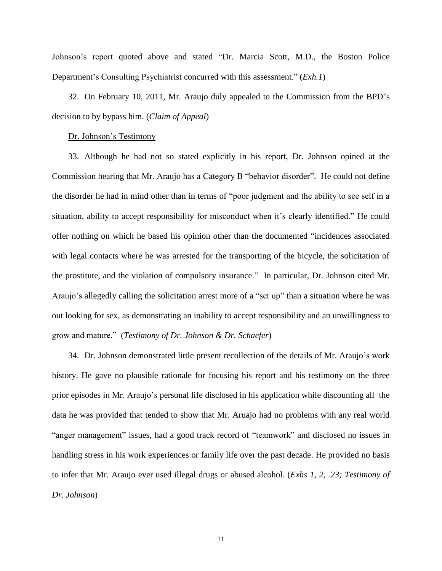Johnson's report quoted above and stated "Dr. Marcia Scott, M.D., the Boston Police Department's Consulting Psychiatrist concurred with this assessment." (*Exh.1*)

32. On February 10, 2011, Mr. Araujo duly appealed to the Commission from the BPD's decision to by bypass him. (*Claim of Appeal*)

## Dr. Johnson's Testimony

33. Although he had not so stated explicitly in his report, Dr. Johnson opined at the Commission hearing that Mr. Araujo has a Category B "behavior disorder". He could not define the disorder he had in mind other than in terms of "poor judgment and the ability to see self in a situation, ability to accept responsibility for misconduct when it's clearly identified." He could offer nothing on which he based his opinion other than the documented "incidences associated with legal contacts where he was arrested for the transporting of the bicycle, the solicitation of the prostitute, and the violation of compulsory insurance." In particular, Dr. Johnson cited Mr. Araujo's allegedly calling the solicitation arrest more of a "set up" than a situation where he was out looking for sex, as demonstrating an inability to accept responsibility and an unwillingness to grow and mature." (*Testimony of Dr. Johnson & Dr. Schaefer*)

34. Dr. Johnson demonstrated little present recollection of the details of Mr. Araujo's work history. He gave no plausible rationale for focusing his report and his testimony on the three prior episodes in Mr. Araujo's personal life disclosed in his application while discounting all the data he was provided that tended to show that Mr. Aruajo had no problems with any real world "anger management" issues, had a good track record of "teamwork" and disclosed no issues in handling stress in his work experiences or family life over the past decade. He provided no basis to infer that Mr. Araujo ever used illegal drugs or abused alcohol. (*Exhs 1, 2, .23; Testimony of Dr. Johnson*)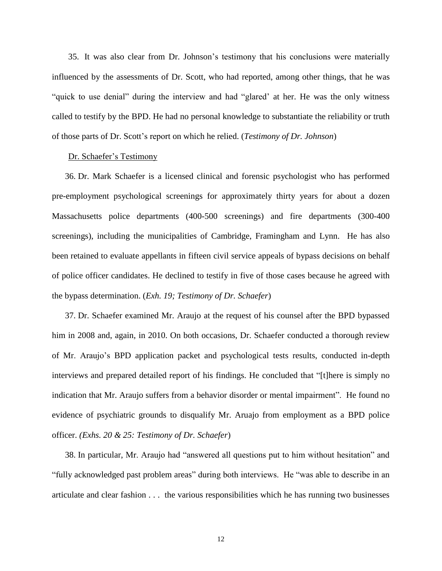35. It was also clear from Dr. Johnson's testimony that his conclusions were materially influenced by the assessments of Dr. Scott, who had reported, among other things, that he was "quick to use denial" during the interview and had "glared' at her. He was the only witness called to testify by the BPD. He had no personal knowledge to substantiate the reliability or truth of those parts of Dr. Scott's report on which he relied. (*Testimony of Dr. Johnson*)

### Dr. Schaefer's Testimony

36. Dr. Mark Schaefer is a licensed clinical and forensic psychologist who has performed pre-employment psychological screenings for approximately thirty years for about a dozen Massachusetts police departments (400-500 screenings) and fire departments (300-400 screenings), including the municipalities of Cambridge, Framingham and Lynn. He has also been retained to evaluate appellants in fifteen civil service appeals of bypass decisions on behalf of police officer candidates. He declined to testify in five of those cases because he agreed with the bypass determination. (*Exh. 19; Testimony of Dr. Schaefer*)

37. Dr. Schaefer examined Mr. Araujo at the request of his counsel after the BPD bypassed him in 2008 and, again, in 2010. On both occasions, Dr. Schaefer conducted a thorough review of Mr. Araujo's BPD application packet and psychological tests results, conducted in-depth interviews and prepared detailed report of his findings. He concluded that "[t]here is simply no indication that Mr. Araujo suffers from a behavior disorder or mental impairment". He found no evidence of psychiatric grounds to disqualify Mr. Aruajo from employment as a BPD police officer. *(Exhs. 20 & 25: Testimony of Dr. Schaefer*)

38. In particular, Mr. Araujo had "answered all questions put to him without hesitation" and "fully acknowledged past problem areas" during both interviews. He "was able to describe in an articulate and clear fashion . . . the various responsibilities which he has running two businesses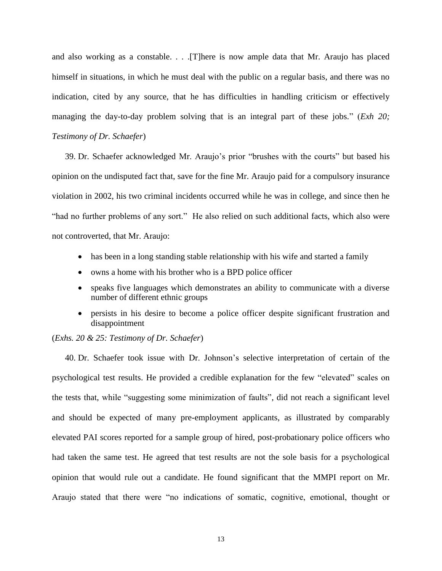and also working as a constable. . . .[T]here is now ample data that Mr. Araujo has placed himself in situations, in which he must deal with the public on a regular basis, and there was no indication, cited by any source, that he has difficulties in handling criticism or effectively managing the day-to-day problem solving that is an integral part of these jobs." (*Exh 20; Testimony of Dr. Schaefer*)

39. Dr. Schaefer acknowledged Mr. Araujo's prior "brushes with the courts" but based his opinion on the undisputed fact that, save for the fine Mr. Araujo paid for a compulsory insurance violation in 2002, his two criminal incidents occurred while he was in college, and since then he "had no further problems of any sort." He also relied on such additional facts, which also were not controverted, that Mr. Araujo:

- has been in a long standing stable relationship with his wife and started a family
- owns a home with his brother who is a BPD police officer
- speaks five languages which demonstrates an ability to communicate with a diverse number of different ethnic groups
- persists in his desire to become a police officer despite significant frustration and disappointment

(*Exhs. 20 & 25: Testimony of Dr. Schaefer*)

40. Dr. Schaefer took issue with Dr. Johnson's selective interpretation of certain of the psychological test results. He provided a credible explanation for the few "elevated" scales on the tests that, while "suggesting some minimization of faults", did not reach a significant level and should be expected of many pre-employment applicants, as illustrated by comparably elevated PAI scores reported for a sample group of hired, post-probationary police officers who had taken the same test. He agreed that test results are not the sole basis for a psychological opinion that would rule out a candidate. He found significant that the MMPI report on Mr. Araujo stated that there were "no indications of somatic, cognitive, emotional, thought or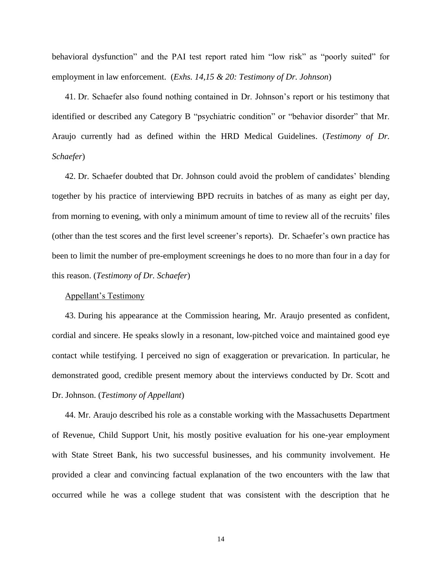behavioral dysfunction" and the PAI test report rated him "low risk" as "poorly suited" for employment in law enforcement. (*Exhs. 14,15 & 20: Testimony of Dr. Johnson*)

41. Dr. Schaefer also found nothing contained in Dr. Johnson's report or his testimony that identified or described any Category B "psychiatric condition" or "behavior disorder" that Mr. Araujo currently had as defined within the HRD Medical Guidelines. (*Testimony of Dr. Schaefer*)

42. Dr. Schaefer doubted that Dr. Johnson could avoid the problem of candidates' blending together by his practice of interviewing BPD recruits in batches of as many as eight per day, from morning to evening, with only a minimum amount of time to review all of the recruits' files (other than the test scores and the first level screener's reports). Dr. Schaefer's own practice has been to limit the number of pre-employment screenings he does to no more than four in a day for this reason. (*Testimony of Dr. Schaefer*)

## Appellant's Testimony

43. During his appearance at the Commission hearing, Mr. Araujo presented as confident, cordial and sincere. He speaks slowly in a resonant, low-pitched voice and maintained good eye contact while testifying. I perceived no sign of exaggeration or prevarication. In particular, he demonstrated good, credible present memory about the interviews conducted by Dr. Scott and Dr. Johnson. (*Testimony of Appellant*)

44. Mr. Araujo described his role as a constable working with the Massachusetts Department of Revenue, Child Support Unit, his mostly positive evaluation for his one-year employment with State Street Bank, his two successful businesses, and his community involvement. He provided a clear and convincing factual explanation of the two encounters with the law that occurred while he was a college student that was consistent with the description that he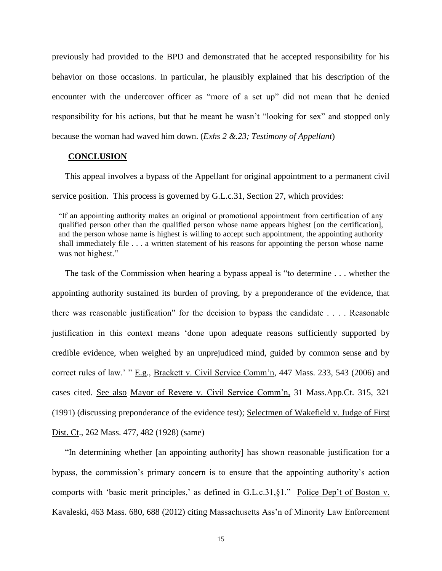previously had provided to the BPD and demonstrated that he accepted responsibility for his behavior on those occasions. In particular, he plausibly explained that his description of the encounter with the undercover officer as "more of a set up" did not mean that he denied responsibility for his actions, but that he meant he wasn't "looking for sex" and stopped only because the woman had waved him down. (*Exhs 2 &.23; Testimony of Appellant*)

## **CONCLUSION**

This appeal involves a bypass of the Appellant for original appointment to a permanent civil service position. This process is governed by G.L.c.31, Section 27, which provides:

"If an appointing authority makes an original or promotional appointment from certification of any qualified person other than the qualified person whose name appears highest [on the certification], and the person whose name is highest is willing to accept such appointment, the appointing authority shall immediately file . . . a written statement of his reasons for appointing the person whose name was not highest."

The task of the Commission when hearing a bypass appeal is "to determine . . . whether the appointing authority sustained its burden of proving, by a preponderance of the evidence, that there was reasonable justification" for the decision to bypass the candidate . . . . Reasonable justification in this context means 'done upon adequate reasons sufficiently supported by credible evidence, when weighed by an unprejudiced mind, guided by common sense and by correct rules of law.' " E.g., Brackett v. Civil Service Comm'n, 447 Mass. 233, 543 (2006) and cases cited. See also Mayor of Revere v. Civil Service Comm'n, 31 Mass.App.Ct. 315, 321 (1991) (discussing preponderance of the evidence test); Selectmen of Wakefield v. Judge of First Dist. Ct., 262 Mass. 477, 482 (1928) (same)

"In determining whether [an appointing authority] has shown reasonable justification for a bypass, the commission's primary concern is to ensure that the appointing authority's action comports with 'basic merit principles,' as defined in G.L.c.31,§1." Police Dep't of Boston v. Kavaleski, 463 Mass. 680, 688 (2012) citing Massachusetts Ass'n of Minority Law Enforcement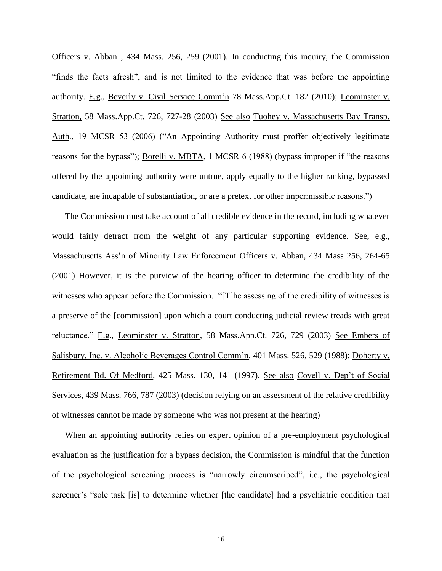Officers v. Abban , 434 Mass. 256, 259 (2001). In conducting this inquiry, the Commission "finds the facts afresh", and is not limited to the evidence that was before the appointing authority. E.g., Beverly v. Civil Service Comm'n 78 Mass.App.Ct. 182 (2010); Leominster v. Stratton, 58 Mass.App.Ct. 726, 727-28 (2003) See also Tuohey v. Massachusetts Bay Transp. Auth., 19 MCSR 53 (2006) ("An Appointing Authority must proffer objectively legitimate reasons for the bypass"); Borelli v. MBTA, 1 MCSR 6 (1988) (bypass improper if "the reasons offered by the appointing authority were untrue, apply equally to the higher ranking, bypassed candidate, are incapable of substantiation, or are a pretext for other impermissible reasons.")

The Commission must take account of all credible evidence in the record, including whatever would fairly detract from the weight of any particular supporting evidence. See, e.g., Massachusetts Ass'n of Minority Law Enforcement Officers v. Abban, 434 Mass 256, 264-65 (2001) However, it is the purview of the hearing officer to determine the credibility of the witnesses who appear before the Commission. "[T]he assessing of the credibility of witnesses is a preserve of the [commission] upon which a court conducting judicial review treads with great reluctance." E.g., Leominster v. Stratton, 58 Mass.App.Ct. 726, 729 (2003) See Embers of Salisbury, Inc. v. Alcoholic Beverages Control Comm'n, 401 Mass. 526, 529 (1988); Doherty v. Retirement Bd. Of Medford, 425 Mass. 130, 141 (1997). See also Covell v. Dep't of Social Services, 439 Mass. 766, 787 (2003) (decision relying on an assessment of the relative credibility of witnesses cannot be made by someone who was not present at the hearing)

When an appointing authority relies on expert opinion of a pre-employment psychological evaluation as the justification for a bypass decision, the Commission is mindful that the function of the psychological screening process is "narrowly circumscribed", i.e., the psychological screener's "sole task [is] to determine whether [the candidate] had a psychiatric condition that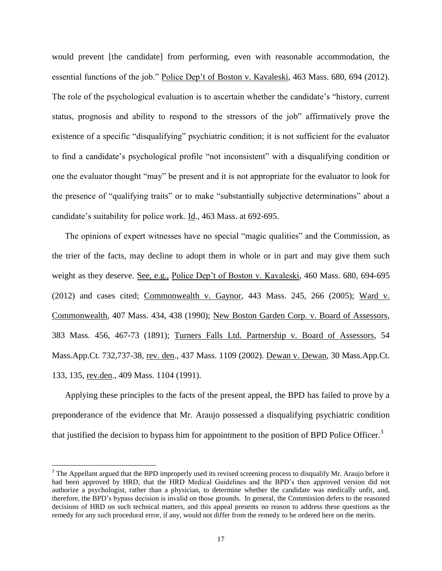would prevent [the candidate] from performing, even with reasonable accommodation, the essential functions of the job." Police Dep't of Boston v. Kavaleski, 463 Mass. 680, 694 (2012). The role of the psychological evaluation is to ascertain whether the candidate's "history, current status, prognosis and ability to respond to the stressors of the job" affirmatively prove the existence of a specific "disqualifying" psychiatric condition; it is not sufficient for the evaluator to find a candidate's psychological profile "not inconsistent" with a disqualifying condition or one the evaluator thought "may" be present and it is not appropriate for the evaluator to look for the presence of "qualifying traits" or to make "substantially subjective determinations" about a candidate's suitability for police work. Id., 463 Mass. at 692-695.

The opinions of expert witnesses have no special "magic qualities" and the Commission, as the trier of the facts, may decline to adopt them in whole or in part and may give them such weight as they deserve. See, e.g., Police Dep't of Boston v. Kavaleski, 460 Mass. 680, 694-695 (2012) and cases cited; Commonwealth v. Gaynor, 443 Mass. 245, 266 (2005); Ward v. Commonwealth, 407 Mass. 434, 438 (1990); New Boston Garden Corp. v. Board of Assessors, 383 Mass. 456, 467-73 (1891); Turners Falls Ltd. Partnership v. Board of Assessors, 54 Mass.App.Ct. 732,737-38, rev. den., 437 Mass. 1109 (2002). Dewan v. Dewan, 30 Mass.App.Ct. 133, 135, rev.den., 409 Mass. 1104 (1991).

Applying these principles to the facts of the present appeal, the BPD has failed to prove by a preponderance of the evidence that Mr. Araujo possessed a disqualifying psychiatric condition that justified the decision to bypass him for appointment to the position of BPD Police Officer.<sup>3</sup>

 $\overline{a}$ 

<sup>&</sup>lt;sup>3</sup> The Appellant argued that the BPD improperly used its revised screening process to disqualify Mr. Araujo before it had been approved by HRD, that the HRD Medical Guidelines and the BPD's then approved version did not authorize a psychologist, rather than a physician, to determine whether the candidate was medically unfit, and, therefore, the BPD's bypass decision is invalid on those grounds. In general, the Commission defers to the reasoned decisions of HRD on such technical matters, and this appeal presents no reason to address these questions as the remedy for any such procedural error, if any, would not differ from the remedy to be ordered here on the merits.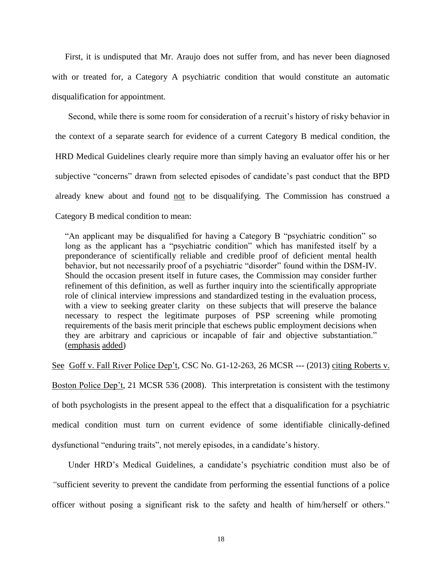First, it is undisputed that Mr. Araujo does not suffer from, and has never been diagnosed with or treated for, a Category A psychiatric condition that would constitute an automatic disqualification for appointment.

Second, while there is some room for consideration of a recruit's history of risky behavior in the context of a separate search for evidence of a current Category B medical condition, the HRD Medical Guidelines clearly require more than simply having an evaluator offer his or her subjective "concerns" drawn from selected episodes of candidate's past conduct that the BPD already knew about and found not to be disqualifying. The Commission has construed a Category B medical condition to mean:

"An applicant may be disqualified for having a Category B "psychiatric condition" so long as the applicant has a "psychiatric condition" which has manifested itself by a preponderance of scientifically reliable and credible proof of deficient mental health behavior, but not necessarily proof of a psychiatric "disorder" found within the DSM-IV. Should the occasion present itself in future cases, the Commission may consider further refinement of this definition, as well as further inquiry into the scientifically appropriate role of clinical interview impressions and standardized testing in the evaluation process, with a view to seeking greater clarity on these subjects that will preserve the balance necessary to respect the legitimate purposes of PSP screening while promoting requirements of the basis merit principle that eschews public employment decisions when they are arbitrary and capricious or incapable of fair and objective substantiation." (emphasis added)

See Goff v. Fall River Police Dep't, CSC No. G1-12-263, 26 MCSR --- (2013) citing Roberts v. Boston Police Dep't, 21 MCSR 536 (2008). This interpretation is consistent with the testimony of both psychologists in the present appeal to the effect that a disqualification for a psychiatric medical condition must turn on current evidence of some identifiable clinically-defined dysfunctional "enduring traits", not merely episodes, in a candidate's history.

Under HRD's Medical Guidelines, a candidate's psychiatric condition must also be of *"*sufficient severity to prevent the candidate from performing the essential functions of a police officer without posing a significant risk to the safety and health of him/herself or others."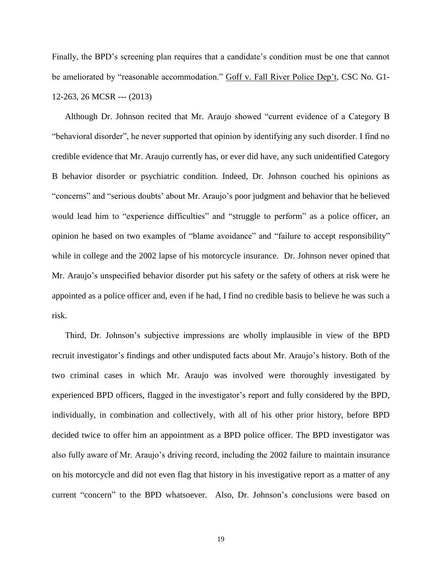Finally, the BPD's screening plan requires that a candidate's condition must be one that cannot be ameliorated by "reasonable accommodation." Goff v. Fall River Police Dep't, CSC No. G1- 12-263, 26 MCSR --- (2013)

Although Dr. Johnson recited that Mr. Araujo showed "current evidence of a Category B "behavioral disorder", he never supported that opinion by identifying any such disorder. I find no credible evidence that Mr. Araujo currently has, or ever did have, any such unidentified Category B behavior disorder or psychiatric condition. Indeed, Dr. Johnson couched his opinions as "concerns" and "serious doubts' about Mr. Araujo's poor judgment and behavior that he believed would lead him to "experience difficulties" and "struggle to perform" as a police officer, an opinion he based on two examples of "blame avoidance" and "failure to accept responsibility" while in college and the 2002 lapse of his motorcycle insurance. Dr. Johnson never opined that Mr. Araujo's unspecified behavior disorder put his safety or the safety of others at risk were he appointed as a police officer and, even if he had, I find no credible basis to believe he was such a risk.

Third, Dr. Johnson's subjective impressions are wholly implausible in view of the BPD recruit investigator's findings and other undisputed facts about Mr. Araujo's history. Both of the two criminal cases in which Mr. Araujo was involved were thoroughly investigated by experienced BPD officers, flagged in the investigator's report and fully considered by the BPD, individually, in combination and collectively, with all of his other prior history, before BPD decided twice to offer him an appointment as a BPD police officer. The BPD investigator was also fully aware of Mr. Araujo's driving record, including the 2002 failure to maintain insurance on his motorcycle and did not even flag that history in his investigative report as a matter of any current "concern" to the BPD whatsoever. Also, Dr. Johnson's conclusions were based on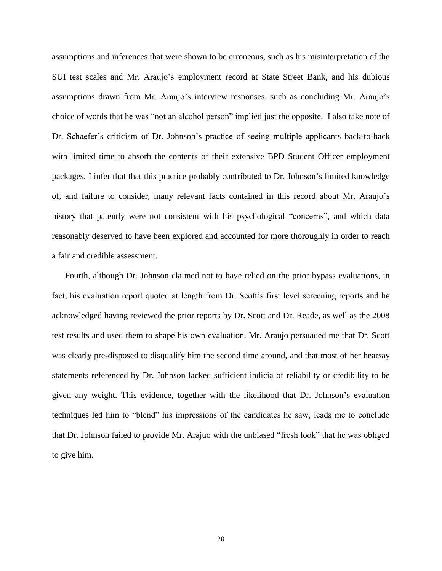assumptions and inferences that were shown to be erroneous, such as his misinterpretation of the SUI test scales and Mr. Araujo's employment record at State Street Bank, and his dubious assumptions drawn from Mr. Araujo's interview responses, such as concluding Mr. Araujo's choice of words that he was "not an alcohol person" implied just the opposite. I also take note of Dr. Schaefer's criticism of Dr. Johnson's practice of seeing multiple applicants back-to-back with limited time to absorb the contents of their extensive BPD Student Officer employment packages. I infer that that this practice probably contributed to Dr. Johnson's limited knowledge of, and failure to consider, many relevant facts contained in this record about Mr. Araujo's history that patently were not consistent with his psychological "concerns", and which data reasonably deserved to have been explored and accounted for more thoroughly in order to reach a fair and credible assessment.

Fourth, although Dr. Johnson claimed not to have relied on the prior bypass evaluations, in fact, his evaluation report quoted at length from Dr. Scott's first level screening reports and he acknowledged having reviewed the prior reports by Dr. Scott and Dr. Reade, as well as the 2008 test results and used them to shape his own evaluation. Mr. Araujo persuaded me that Dr. Scott was clearly pre-disposed to disqualify him the second time around, and that most of her hearsay statements referenced by Dr. Johnson lacked sufficient indicia of reliability or credibility to be given any weight. This evidence, together with the likelihood that Dr. Johnson's evaluation techniques led him to "blend" his impressions of the candidates he saw, leads me to conclude that Dr. Johnson failed to provide Mr. Arajuo with the unbiased "fresh look" that he was obliged to give him.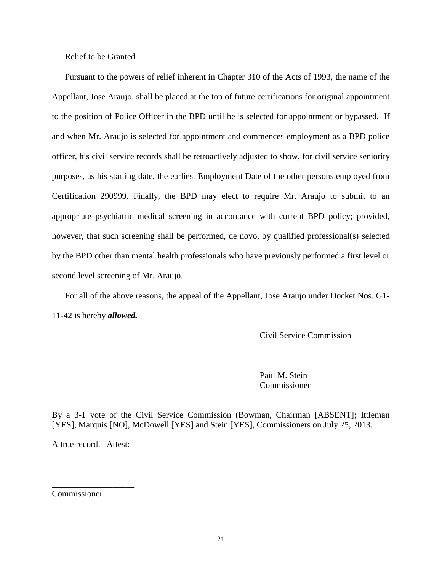# Relief to be Granted

Pursuant to the powers of relief inherent in Chapter 310 of the Acts of 1993, the name of the Appellant, Jose Araujo, shall be placed at the top of future certifications for original appointment to the position of Police Officer in the BPD until he is selected for appointment or bypassed. If and when Mr. Araujo is selected for appointment and commences employment as a BPD police officer, his civil service records shall be retroactively adjusted to show, for civil service seniority purposes, as his starting date, the earliest Employment Date of the other persons employed from Certification 290999. Finally, the BPD may elect to require Mr. Araujo to submit to an appropriate psychiatric medical screening in accordance with current BPD policy; provided, however, that such screening shall be performed, de novo, by qualified professional(s) selected by the BPD other than mental health professionals who have previously performed a first level or second level screening of Mr. Araujo.

For all of the above reasons, the appeal of the Appellant, Jose Araujo under Docket Nos. G1-11-42 is hereby *allowed.*

Civil Service Commission

Paul M. Stein Commissioner

By a 3-1 vote of the Civil Service Commission (Bowman, Chairman [ABSENT]; Ittleman [YES], Marquis [NO], McDowell [YES] and Stein [YES], Commissioners on July 25, 2013.

A true record. Attest:

\_\_\_\_\_\_\_\_\_\_\_\_\_\_\_\_\_\_\_

Commissioner